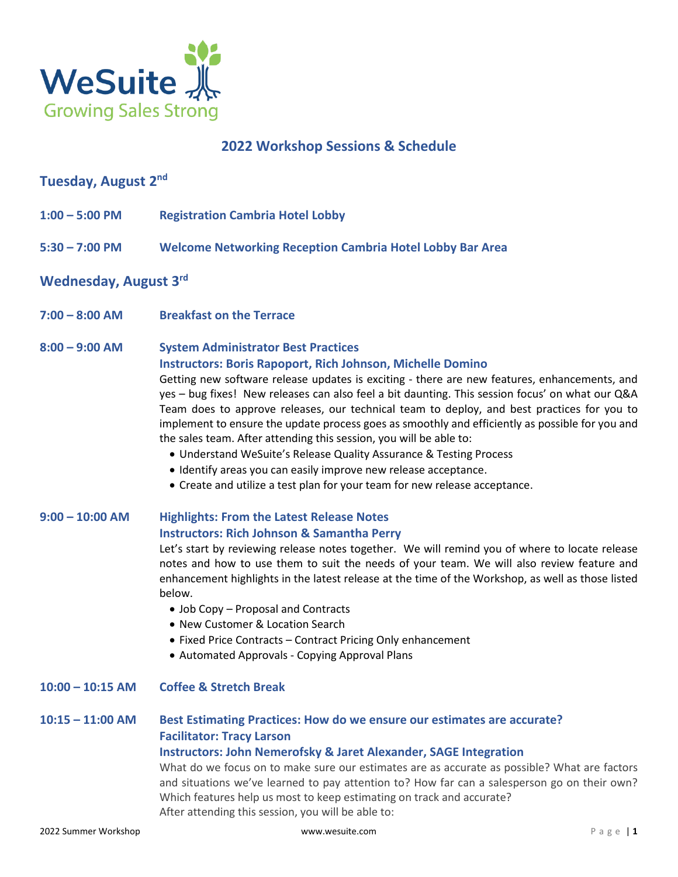

# **2022 Workshop Sessions & Schedule**

# **Tuesday, August 2 nd**

- **1:00 – 5:00 PM Registration Cambria Hotel Lobby**
- **5:30 – 7:00 PM Welcome Networking Reception Cambria Hotel Lobby Bar Area**

# **Wednesday, August 3 rd**

**7:00 – 8:00 AM Breakfast on the Terrace**

#### **8:00 – 9:00 AM System Administrator Best Practices**

#### **Instructors: Boris Rapoport, Rich Johnson, Michelle Domino**

Getting new software release updates is exciting - there are new features, enhancements, and yes – bug fixes! New releases can also feel a bit daunting. This session focus' on what our Q&A Team does to approve releases, our technical team to deploy, and best practices for you to implement to ensure the update process goes as smoothly and efficiently as possible for you and the sales team. After attending this session, you will be able to:

- Understand WeSuite's Release Quality Assurance & Testing Process
- Identify areas you can easily improve new release acceptance.
- Create and utilize a test plan for your team for new release acceptance.

## **9:00 – 10:00 AM Highlights: From the Latest Release Notes Instructors: Rich Johnson & Samantha Perry**

Let's start by reviewing release notes together. We will remind you of where to locate release notes and how to use them to suit the needs of your team. We will also review feature and enhancement highlights in the latest release at the time of the Workshop, as well as those listed below.

- Job Copy Proposal and Contracts
- New Customer & Location Search
- Fixed Price Contracts Contract Pricing Only enhancement
- Automated Approvals Copying Approval Plans

### **10:00 – 10:15 AM Coffee & Stretch Break**

# **10:15 – 11:00 AM Best Estimating Practices: How do we ensure our estimates are accurate? Facilitator: Tracy Larson**

#### **Instructors: John Nemerofsky & Jaret Alexander, SAGE Integration**

What do we focus on to make sure our estimates are as accurate as possible? What are factors and situations we've learned to pay attention to? How far can a salesperson go on their own? Which features help us most to keep estimating on track and accurate? After attending this session, you will be able to: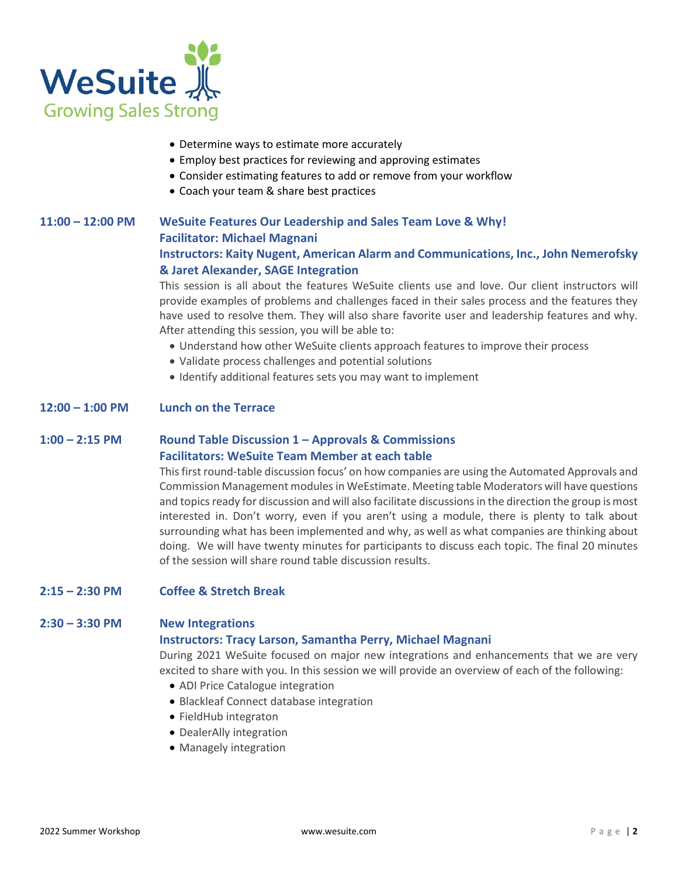

- Determine ways to estimate more accurately
- Employ best practices for reviewing and approving estimates
- Consider estimating features to add or remove from your workflow
- Coach your team & share best practices

## **11:00 – 12:00 PM WeSuite Features Our Leadership and Sales Team Love & Why! Facilitator: Michael Magnani Instructors: Kaity Nugent, American Alarm and Communications, Inc., John Nemerofsky & Jaret Alexander, SAGE Integration**

This session is all about the features WeSuite clients use and love. Our client instructors will provide examples of problems and challenges faced in their sales process and the features they have used to resolve them. They will also share favorite user and leadership features and why. After attending this session, you will be able to:

- Understand how other WeSuite clients approach features to improve their process
- Validate process challenges and potential solutions
- Identify additional features sets you may want to implement

### **12:00 – 1:00 PM Lunch on the Terrace**

#### **1:00 – 2:15 PM Round Table Discussion 1 – Approvals & Commissions Facilitators: WeSuite Team Member at each table**

This first round-table discussion focus' on how companies are using the Automated Approvals and Commission Management modules in WeEstimate. Meeting table Moderators will have questions and topics ready for discussion and will also facilitate discussions in the direction the group is most interested in. Don't worry, even if you aren't using a module, there is plenty to talk about surrounding what has been implemented and why, as well as what companies are thinking about doing. We will have twenty minutes for participants to discuss each topic. The final 20 minutes of the session will share round table discussion results.

#### **2:15 – 2:30 PM Coffee & Stretch Break**

#### **2:30 – 3:30 PM New Integrations**

#### **Instructors: Tracy Larson, Samantha Perry, Michael Magnani**

During 2021 WeSuite focused on major new integrations and enhancements that we are very excited to share with you. In this session we will provide an overview of each of the following:

- ADI Price Catalogue integration
- Blackleaf Connect database integration
- FieldHub integraton
- DealerAlly integration
- Managely integration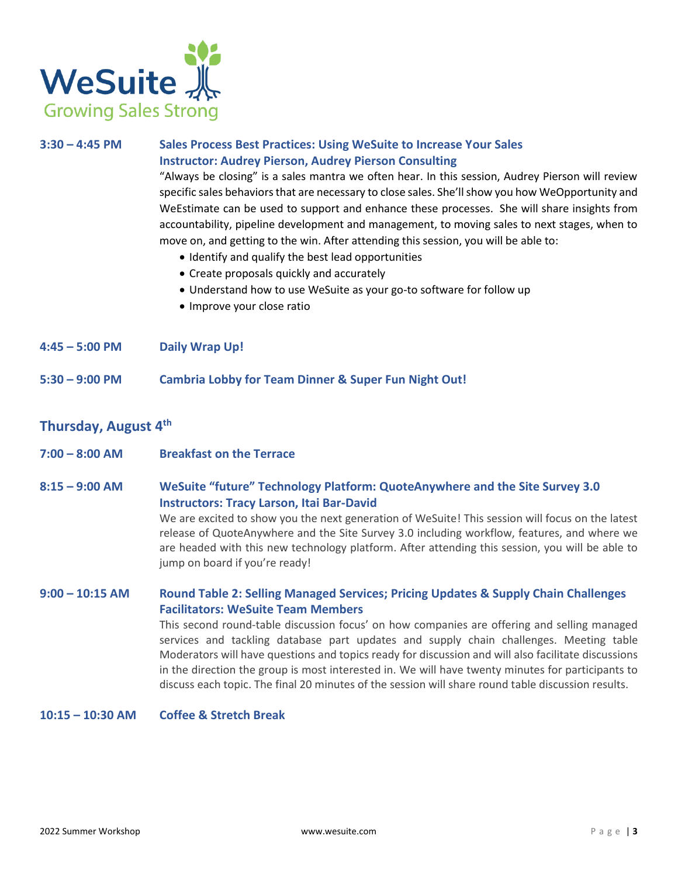

# **3:30 – 4:45 PM Sales Process Best Practices: Using WeSuite to Increase Your Sales Instructor: Audrey Pierson, Audrey Pierson Consulting**

"Always be closing" is a sales mantra we often hear. In this session, Audrey Pierson will review specific sales behaviors that are necessary to close sales. She'll show you how WeOpportunity and WeEstimate can be used to support and enhance these processes. She will share insights from accountability, pipeline development and management, to moving sales to next stages, when to move on, and getting to the win. After attending this session, you will be able to:

- Identify and qualify the best lead opportunities
- Create proposals quickly and accurately
- Understand how to use WeSuite as your go-to software for follow up
- Improve your close ratio
- **4:45 – 5:00 PM Daily Wrap Up!**
- **5:30 – 9:00 PM Cambria Lobby for Team Dinner & Super Fun Night Out!**

# **Thursday, August 4 th**

- **7:00 – 8:00 AM Breakfast on the Terrace**
- **8:15 – 9:00 AM WeSuite "future" Technology Platform: QuoteAnywhere and the Site Survey 3.0 Instructors: Tracy Larson, Itai Bar-David**

We are excited to show you the next generation of WeSuite! This session will focus on the latest release of QuoteAnywhere and the Site Survey 3.0 including workflow, features, and where we are headed with this new technology platform. After attending this session, you will be able to jump on board if you're ready!

### **9:00 – 10:15 AM Round Table 2: Selling Managed Services; Pricing Updates & Supply Chain Challenges Facilitators: WeSuite Team Members**

This second round-table discussion focus' on how companies are offering and selling managed services and tackling database part updates and supply chain challenges. Meeting table Moderators will have questions and topics ready for discussion and will also facilitate discussions in the direction the group is most interested in. We will have twenty minutes for participants to discuss each topic. The final 20 minutes of the session will share round table discussion results.

#### **10:15 – 10:30 AM Coffee & Stretch Break**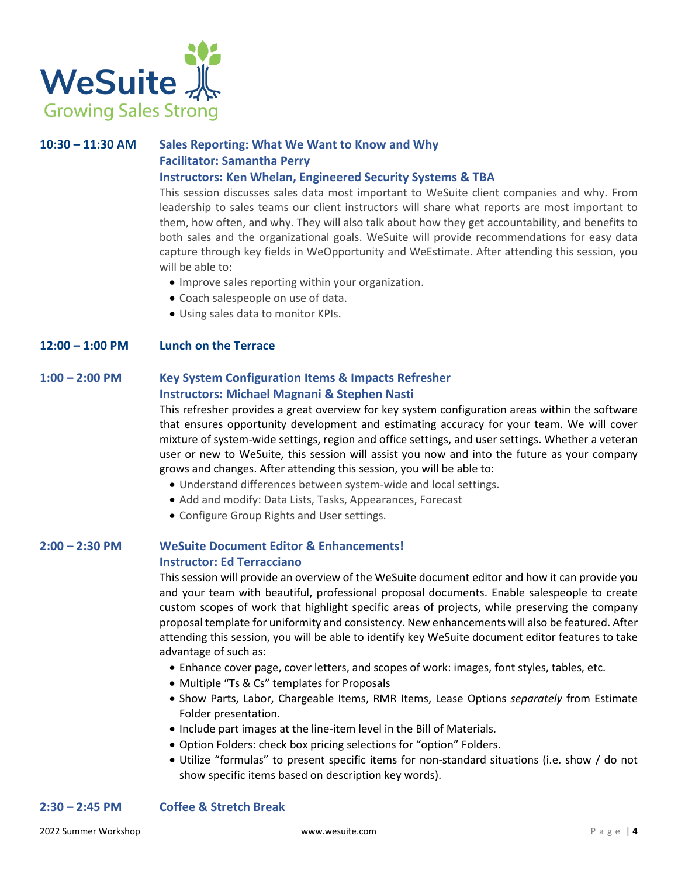

# **10:30 – 11:30 AM Sales Reporting: What We Want to Know and Why Facilitator: Samantha Perry**

#### **Instructors: Ken Whelan, Engineered Security Systems & TBA**

This session discusses sales data most important to WeSuite client companies and why. From leadership to sales teams our client instructors will share what reports are most important to them, how often, and why. They will also talk about how they get accountability, and benefits to both sales and the organizational goals. WeSuite will provide recommendations for easy data capture through key fields in WeOpportunity and WeEstimate. After attending this session, you will be able to:

- Improve sales reporting within your organization.
- Coach salespeople on use of data.
- Using sales data to monitor KPIs.

#### **12:00 – 1:00 PM Lunch on the Terrace**

## **1:00 – 2:00 PM Key System Configuration Items & Impacts Refresher Instructors: Michael Magnani & Stephen Nasti**

This refresher provides a great overview for key system configuration areas within the software that ensures opportunity development and estimating accuracy for your team. We will cover mixture of system-wide settings, region and office settings, and user settings. Whether a veteran user or new to WeSuite, this session will assist you now and into the future as your company grows and changes. After attending this session, you will be able to:

- Understand differences between system-wide and local settings.
- Add and modify: Data Lists, Tasks, Appearances, Forecast
- Configure Group Rights and User settings.

#### **2:00 – 2:30 PM WeSuite Document Editor & Enhancements! Instructor: Ed Terracciano**

This session will provide an overview of the WeSuite document editor and how it can provide you and your team with beautiful, professional proposal documents. Enable salespeople to create custom scopes of work that highlight specific areas of projects, while preserving the company proposal template for uniformity and consistency. New enhancements will also be featured. After attending this session, you will be able to identify key WeSuite document editor features to take advantage of such as:

- Enhance cover page, cover letters, and scopes of work: images, font styles, tables, etc.
- Multiple "Ts & Cs" templates for Proposals
- Show Parts, Labor, Chargeable Items, RMR Items, Lease Options *separately* from Estimate Folder presentation.
- Include part images at the line-item level in the Bill of Materials.
- Option Folders: check box pricing selections for "option" Folders.
- Utilize "formulas" to present specific items for non-standard situations (i.e. show / do not show specific items based on description key words).

## **2:30 – 2:45 PM Coffee & Stretch Break**